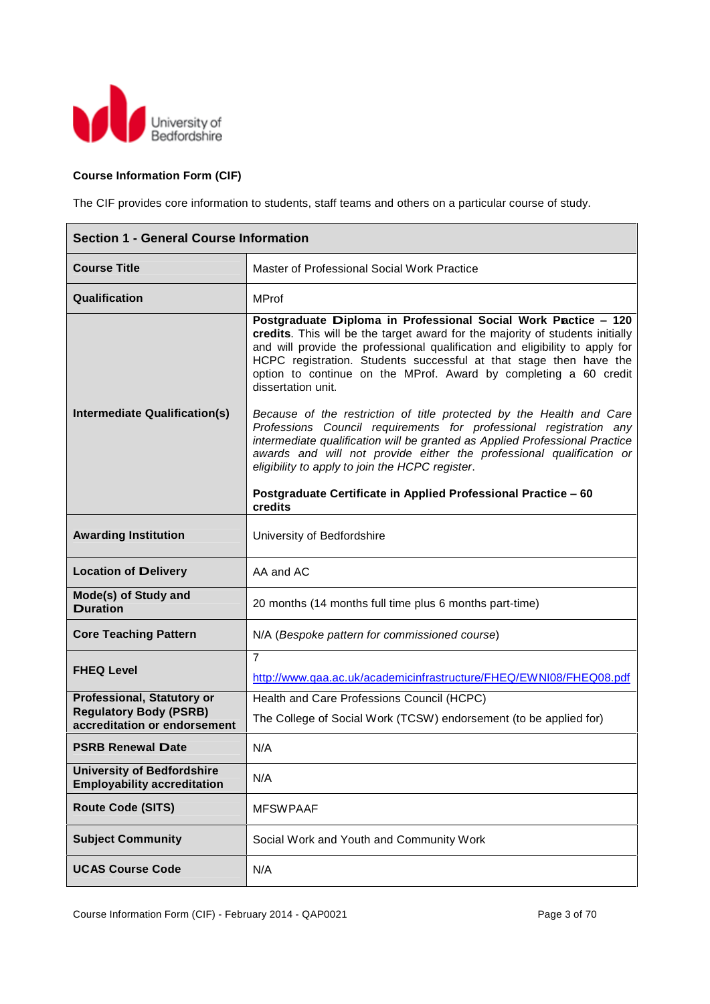

# **Course Information Form (CIF)**

The CIF provides core information to students, staff teams and others on a particular course of study.

| <b>Section 1 - General Course Information</b>                                                      |                                                                                                                                                                                                                                                                                                                                                                                                                                                                                                                                                                                                                                                                                                                                                         |
|----------------------------------------------------------------------------------------------------|---------------------------------------------------------------------------------------------------------------------------------------------------------------------------------------------------------------------------------------------------------------------------------------------------------------------------------------------------------------------------------------------------------------------------------------------------------------------------------------------------------------------------------------------------------------------------------------------------------------------------------------------------------------------------------------------------------------------------------------------------------|
| <b>Course Title</b>                                                                                | Master of Professional Social Work Practice                                                                                                                                                                                                                                                                                                                                                                                                                                                                                                                                                                                                                                                                                                             |
| Qualification                                                                                      | <b>MProf</b>                                                                                                                                                                                                                                                                                                                                                                                                                                                                                                                                                                                                                                                                                                                                            |
| Intermediate Qualification(s)                                                                      | Postgraduate Diploma in Professional Social Work Pactice - 120<br>credits. This will be the target award for the majority of students initially<br>and will provide the professional qualification and eligibility to apply for<br>HCPC registration. Students successful at that stage then have the<br>option to continue on the MProf. Award by completing a 60 credit<br>dissertation unit.<br>Because of the restriction of title protected by the Health and Care<br>Professions Council requirements for professional registration any<br>intermediate qualification will be granted as Applied Professional Practice<br>awards and will not provide either the professional qualification or<br>eligibility to apply to join the HCPC register. |
|                                                                                                    | Postgraduate Certificate in Applied Professional Practice - 60<br>credits                                                                                                                                                                                                                                                                                                                                                                                                                                                                                                                                                                                                                                                                               |
| <b>Awarding Institution</b>                                                                        | University of Bedfordshire                                                                                                                                                                                                                                                                                                                                                                                                                                                                                                                                                                                                                                                                                                                              |
| <b>Location of Delivery</b>                                                                        | AA and AC                                                                                                                                                                                                                                                                                                                                                                                                                                                                                                                                                                                                                                                                                                                                               |
| Mode(s) of Study and<br><b>Duration</b>                                                            | 20 months (14 months full time plus 6 months part-time)                                                                                                                                                                                                                                                                                                                                                                                                                                                                                                                                                                                                                                                                                                 |
| <b>Core Teaching Pattern</b>                                                                       | N/A (Bespoke pattern for commissioned course)                                                                                                                                                                                                                                                                                                                                                                                                                                                                                                                                                                                                                                                                                                           |
| <b>FHEQ Level</b>                                                                                  | $\overline{7}$<br>http://www.qaa.ac.uk/academicinfrastructure/FHEQ/EWNI08/FHEQ08.pdf                                                                                                                                                                                                                                                                                                                                                                                                                                                                                                                                                                                                                                                                    |
| <b>Professional, Statutory or</b><br><b>Regulatory Body (PSRB)</b><br>accreditation or endorsement | Health and Care Professions Council (HCPC)<br>The College of Social Work (TCSW) endorsement (to be applied for)                                                                                                                                                                                                                                                                                                                                                                                                                                                                                                                                                                                                                                         |
| <b>PSRB Renewal Date</b>                                                                           | N/A                                                                                                                                                                                                                                                                                                                                                                                                                                                                                                                                                                                                                                                                                                                                                     |
| <b>University of Bedfordshire</b><br><b>Employability accreditation</b>                            | N/A                                                                                                                                                                                                                                                                                                                                                                                                                                                                                                                                                                                                                                                                                                                                                     |
| <b>Route Code (SITS)</b>                                                                           | <b>MFSWPAAF</b>                                                                                                                                                                                                                                                                                                                                                                                                                                                                                                                                                                                                                                                                                                                                         |
| <b>Subject Community</b>                                                                           | Social Work and Youth and Community Work                                                                                                                                                                                                                                                                                                                                                                                                                                                                                                                                                                                                                                                                                                                |
| <b>UCAS Course Code</b>                                                                            | N/A                                                                                                                                                                                                                                                                                                                                                                                                                                                                                                                                                                                                                                                                                                                                                     |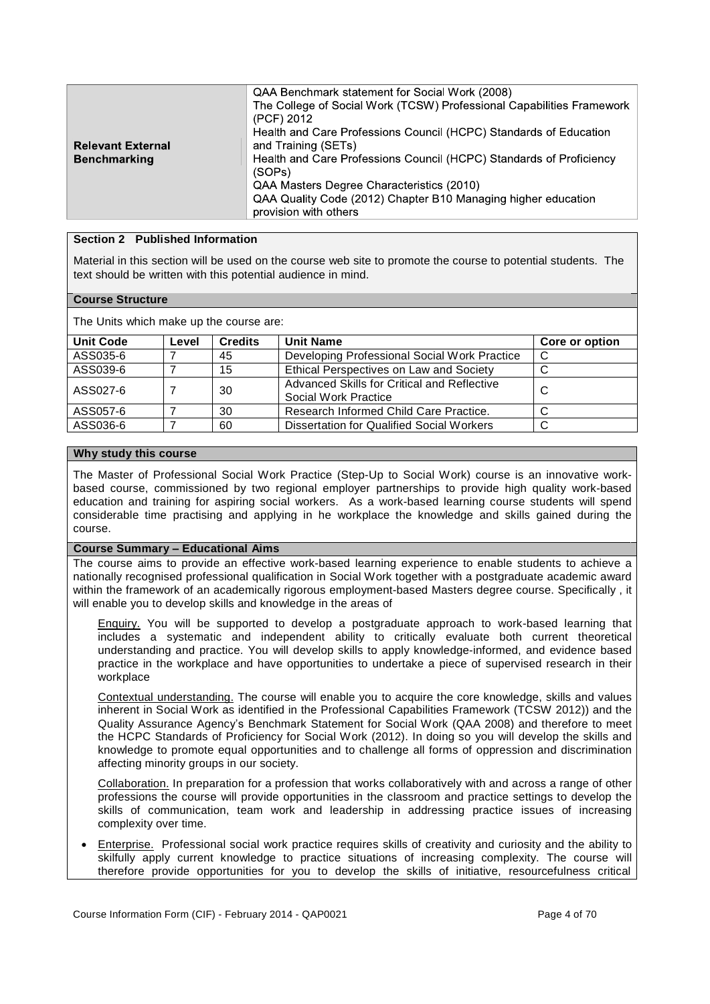|                          | QAA Benchmark statement for Social Work (2008)<br>The College of Social Work (TCSW) Professional Capabilities Framework |
|--------------------------|-------------------------------------------------------------------------------------------------------------------------|
|                          | (PCF) 2012                                                                                                              |
|                          | Health and Care Professions Council (HCPC) Standards of Education                                                       |
| <b>Relevant External</b> | and Training (SETs)                                                                                                     |
| <b>Benchmarking</b>      | Health and Care Professions Council (HCPC) Standards of Proficiency                                                     |
|                          | (SOPs)                                                                                                                  |
|                          | QAA Masters Degree Characteristics (2010)                                                                               |
|                          | QAA Quality Code (2012) Chapter B10 Managing higher education                                                           |
|                          | provision with others                                                                                                   |

## **Section 2 Published Information**

Material in this section will be used on the course web site to promote the course to potential students. The text should be written with this potential audience in mind.

#### **Course Structure**

The Units which make up the course are:

| <b>Unit Code</b> | Level | <b>Credits</b> | <b>Unit Name</b>                                                    | Core or option |
|------------------|-------|----------------|---------------------------------------------------------------------|----------------|
| ASS035-6         |       | 45             | Developing Professional Social Work Practice                        | C              |
| ASS039-6         |       | 15             | Ethical Perspectives on Law and Society                             | ◡              |
| ASS027-6         |       | 30             | Advanced Skills for Critical and Reflective<br>Social Work Practice | C              |
| ASS057-6         |       | 30             | Research Informed Child Care Practice.                              | $\sim$<br>◡    |
| ASS036-6         |       | 60             | Dissertation for Qualified Social Workers                           | ◡              |

#### **Why study this course**

The Master of Professional Social Work Practice (Step-Up to Social Work) course is an innovative workbased course, commissioned by two regional employer partnerships to provide high quality work-based education and training for aspiring social workers. As a work-based learning course students will spend considerable time practising and applying in he workplace the knowledge and skills gained during the course.

## **Course Summary – Educational Aims**

The course aims to provide an effective work-based learning experience to enable students to achieve a nationally recognised professional qualification in Social Work together with a postgraduate academic award within the framework of an academically rigorous employment-based Masters degree course. Specifically , it will enable you to develop skills and knowledge in the areas of

Enquiry. You will be supported to develop a postgraduate approach to work-based learning that includes a systematic and independent ability to critically evaluate both current theoretical understanding and practice. You will develop skills to apply knowledge-informed, and evidence based practice in the workplace and have opportunities to undertake a piece of supervised research in their workplace

Contextual understanding. The course will enable you to acquire the core knowledge, skills and values inherent in Social Work as identified in the Professional Capabilities Framework (TCSW 2012)) and the Quality Assurance Agency's Benchmark Statement for Social Work (QAA 2008) and therefore to meet the HCPC Standards of Proficiency for Social Work (2012). In doing so you will develop the skills and knowledge to promote equal opportunities and to challenge all forms of oppression and discrimination affecting minority groups in our society.

Collaboration. In preparation for a profession that works collaboratively with and across a range of other professions the course will provide opportunities in the classroom and practice settings to develop the skills of communication, team work and leadership in addressing practice issues of increasing complexity over time.

 Enterprise. Professional social work practice requires skills of creativity and curiosity and the ability to skilfully apply current knowledge to practice situations of increasing complexity. The course will therefore provide opportunities for you to develop the skills of initiative, resourcefulness critical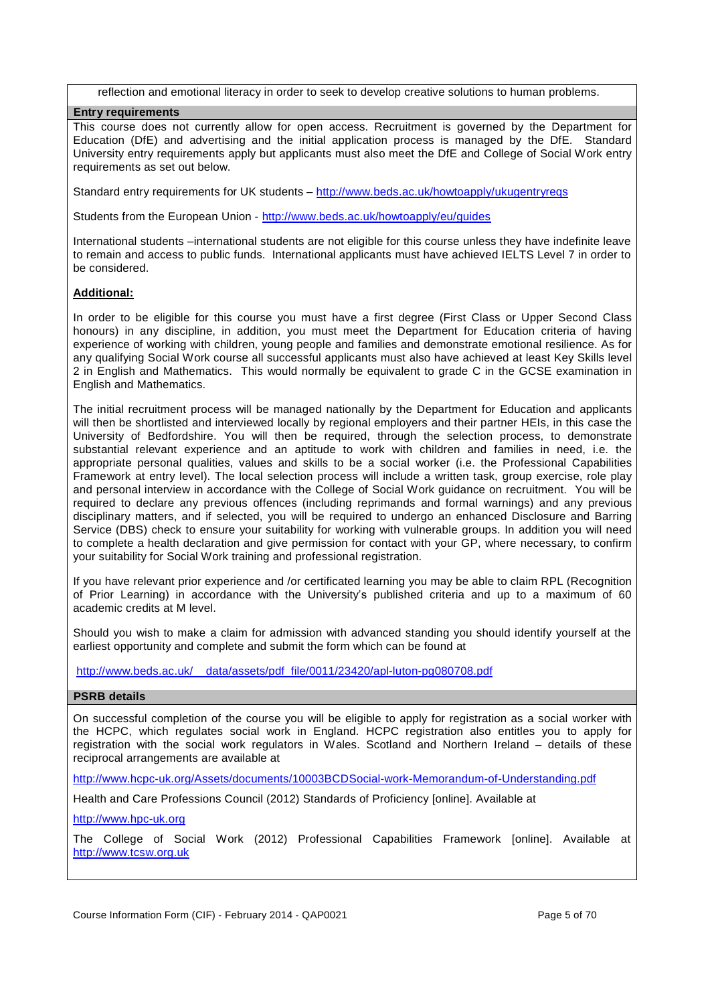reflection and emotional literacy in order to seek to develop creative solutions to human problems.

#### **Entry requirements**

This course does not currently allow for open access. Recruitment is governed by the Department for Education (DfE) and advertising and the initial application process is managed by the DfE. Standard University entry requirements apply but applicants must also meet the DfE and College of Social Work entry requirements as set out below.

Standard entry requirements for UK students – http://www.beds.ac.uk/howtoapply/ukugentryreqs

Students from the European Union - http://www.beds.ac.uk/howtoapply/eu/guides

International students –international students are not eligible for this course unless they have indefinite leave to remain and access to public funds. International applicants must have achieved IELTS Level 7 in order to be considered.

# **Additional:**

In order to be eligible for this course you must have a first degree (First Class or Upper Second Class honours) in any discipline, in addition, you must meet the Department for Education criteria of having experience of working with children, young people and families and demonstrate emotional resilience. As for any qualifying Social Work course all successful applicants must also have achieved at least Key Skills level 2 in English and Mathematics. This would normally be equivalent to grade C in the GCSE examination in English and Mathematics.

The initial recruitment process will be managed nationally by the Department for Education and applicants will then be shortlisted and interviewed locally by regional employers and their partner HEIs, in this case the University of Bedfordshire. You will then be required, through the selection process, to demonstrate substantial relevant experience and an aptitude to work with children and families in need, i.e. the appropriate personal qualities, values and skills to be a social worker (i.e. the Professional Capabilities Framework at entry level). The local selection process will include a written task, group exercise, role play and personal interview in accordance with the College of Social Work guidance on recruitment. You will be required to declare any previous offences (including reprimands and formal warnings) and any previous disciplinary matters, and if selected, you will be required to undergo an enhanced Disclosure and Barring Service (DBS) check to ensure your suitability for working with vulnerable groups. In addition you will need to complete a health declaration and give permission for contact with your GP, where necessary, to confirm your suitability for Social Work training and professional registration.

If you have relevant prior experience and /or certificated learning you may be able to claim RPL (Recognition of Prior Learning) in accordance with the University's published criteria and up to a maximum of 60 academic credits at M level.

Should you wish to make a claim for admission with advanced standing you should identify yourself at the earliest opportunity and complete and submit the form which can be found at

http://www.beds.ac.uk/ data/assets/pdf\_file/0011/23420/apl-luton-pg080708.pdf

# **PSRB details**

On successful completion of the course you will be eligible to apply for registration as a social worker with the HCPC, which regulates social work in England. HCPC registration also entitles you to apply for registration with the social work regulators in Wales. Scotland and Northern Ireland – details of these reciprocal arrangements are available at

http://www.hcpc-uk.org/Assets/documents/10003BCDSocial-work-Memorandum-of-Understanding.pdf

Health and Care Professions Council (2012) Standards of Proficiency [online]. Available at

http://www.hpc-uk.org

The College of Social Work (2012) Professional Capabilities Framework [online]. Available at http://www.tcsw.org.uk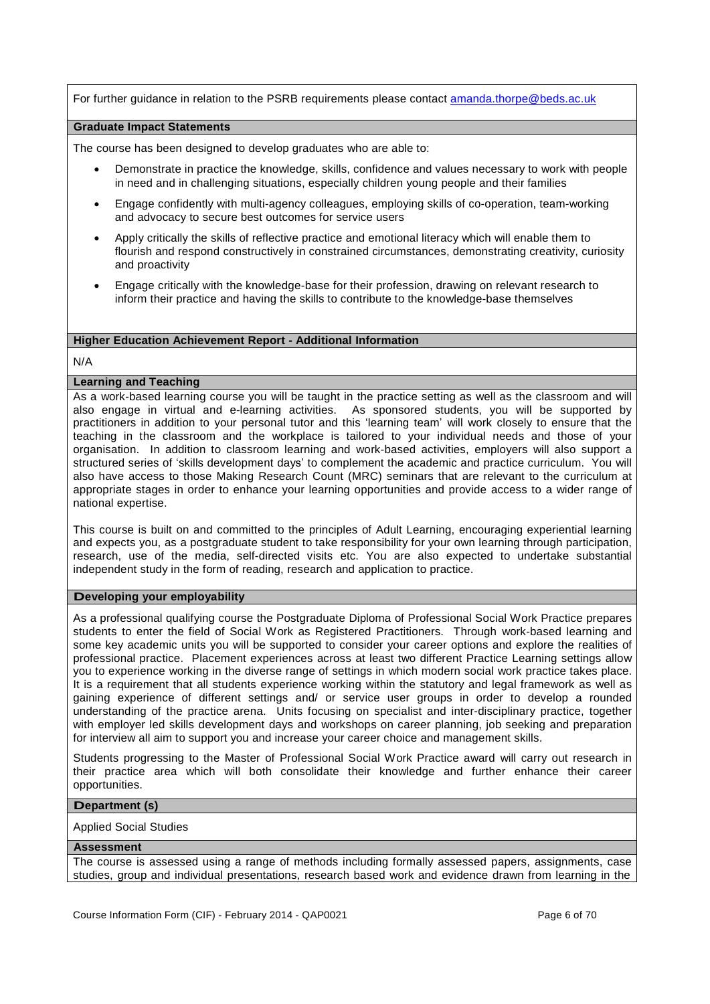For further guidance in relation to the PSRB requirements please contact amanda.thorpe@beds.ac.uk

#### **Graduate Impact Statements**

The course has been designed to develop graduates who are able to:

- Demonstrate in practice the knowledge, skills, confidence and values necessary to work with people in need and in challenging situations, especially children young people and their families
- Engage confidently with multi-agency colleagues, employing skills of co-operation, team-working and advocacy to secure best outcomes for service users
- Apply critically the skills of reflective practice and emotional literacy which will enable them to flourish and respond constructively in constrained circumstances, demonstrating creativity, curiosity and proactivity
- Engage critically with the knowledge-base for their profession, drawing on relevant research to inform their practice and having the skills to contribute to the knowledge-base themselves

# **Higher Education Achievement Report - Additional Information**

#### N/A

## **Learning and Teaching**

As a work-based learning course you will be taught in the practice setting as well as the classroom and will also engage in virtual and e-learning activities. As sponsored students, you will be supported by practitioners in addition to your personal tutor and this 'learning team' will work closely to ensure that the teaching in the classroom and the workplace is tailored to your individual needs and those of your organisation. In addition to classroom learning and work-based activities, employers will also support a structured series of 'skills development days' to complement the academic and practice curriculum. You will also have access to those Making Research Count (MRC) seminars that are relevant to the curriculum at appropriate stages in order to enhance your learning opportunities and provide access to a wider range of national expertise.

This course is built on and committed to the principles of Adult Learning, encouraging experiential learning and expects you, as a postgraduate student to take responsibility for your own learning through participation, research, use of the media, self-directed visits etc. You are also expected to undertake substantial independent study in the form of reading, research and application to practice.

# **Developing your employability**

As a professional qualifying course the Postgraduate Diploma of Professional Social Work Practice prepares students to enter the field of Social Work as Registered Practitioners. Through work-based learning and some key academic units you will be supported to consider your career options and explore the realities of professional practice. Placement experiences across at least two different Practice Learning settings allow you to experience working in the diverse range of settings in which modern social work practice takes place. It is a requirement that all students experience working within the statutory and legal framework as well as gaining experience of different settings and/ or service user groups in order to develop a rounded understanding of the practice arena. Units focusing on specialist and inter-disciplinary practice, together with employer led skills development days and workshops on career planning, job seeking and preparation for interview all aim to support you and increase your career choice and management skills.

Students progressing to the Master of Professional Social Work Practice award will carry out research in their practice area which will both consolidate their knowledge and further enhance their career opportunities.

#### **Department (s)**

#### Applied Social Studies

#### **Assessment**

The course is assessed using a range of methods including formally assessed papers, assignments, case studies, group and individual presentations, research based work and evidence drawn from learning in the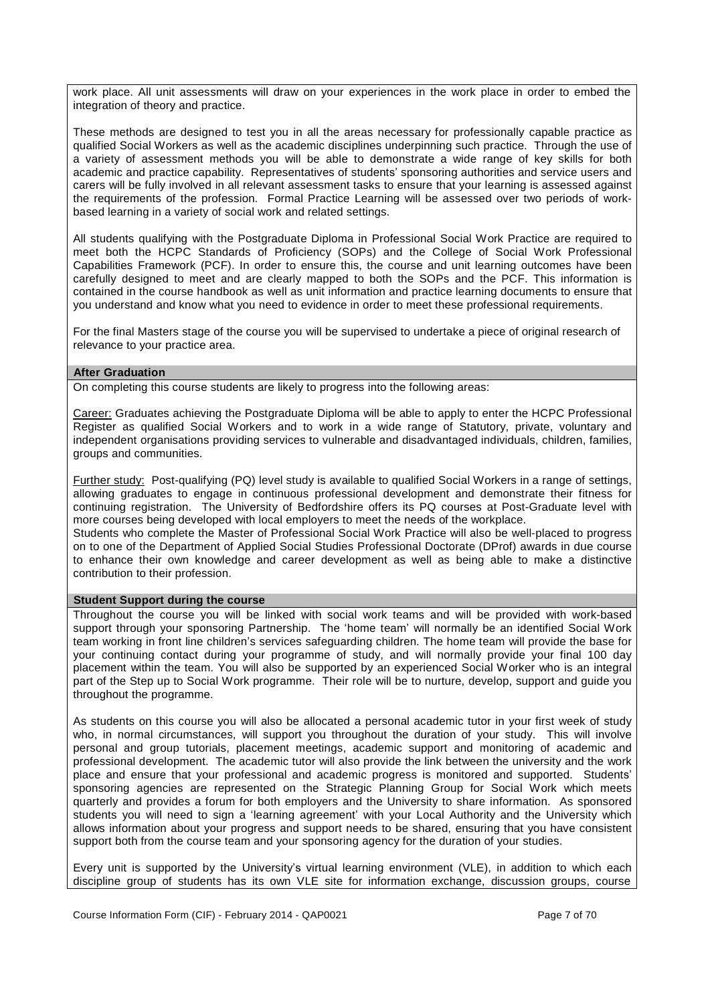work place. All unit assessments will draw on your experiences in the work place in order to embed the integration of theory and practice.

These methods are designed to test you in all the areas necessary for professionally capable practice as qualified Social Workers as well as the academic disciplines underpinning such practice. Through the use of a variety of assessment methods you will be able to demonstrate a wide range of key skills for both academic and practice capability. Representatives of students' sponsoring authorities and service users and carers will be fully involved in all relevant assessment tasks to ensure that your learning is assessed against the requirements of the profession. Formal Practice Learning will be assessed over two periods of workbased learning in a variety of social work and related settings.

All students qualifying with the Postgraduate Diploma in Professional Social Work Practice are required to meet both the HCPC Standards of Proficiency (SOPs) and the College of Social Work Professional Capabilities Framework (PCF). In order to ensure this, the course and unit learning outcomes have been carefully designed to meet and are clearly mapped to both the SOPs and the PCF. This information is contained in the course handbook as well as unit information and practice learning documents to ensure that you understand and know what you need to evidence in order to meet these professional requirements.

For the final Masters stage of the course you will be supervised to undertake a piece of original research of relevance to your practice area.

#### **After Graduation**

On completing this course students are likely to progress into the following areas:

Career: Graduates achieving the Postgraduate Diploma will be able to apply to enter the HCPC Professional Register as qualified Social Workers and to work in a wide range of Statutory, private, voluntary and independent organisations providing services to vulnerable and disadvantaged individuals, children, families, groups and communities.

Further study: Post-qualifying (PQ) level study is available to qualified Social Workers in a range of settings, allowing graduates to engage in continuous professional development and demonstrate their fitness for continuing registration. The University of Bedfordshire offers its PQ courses at Post-Graduate level with more courses being developed with local employers to meet the needs of the workplace.

Students who complete the Master of Professional Social Work Practice will also be well-placed to progress on to one of the Department of Applied Social Studies Professional Doctorate (DProf) awards in due course to enhance their own knowledge and career development as well as being able to make a distinctive contribution to their profession.

## **Student Support during the course**

Throughout the course you will be linked with social work teams and will be provided with work-based support through your sponsoring Partnership. The 'home team' will normally be an identified Social Work team working in front line children's services safeguarding children. The home team will provide the base for your continuing contact during your programme of study, and will normally provide your final 100 day placement within the team. You will also be supported by an experienced Social Worker who is an integral part of the Step up to Social Work programme. Their role will be to nurture, develop, support and guide you throughout the programme.

As students on this course you will also be allocated a personal academic tutor in your first week of study who, in normal circumstances, will support you throughout the duration of your study. This will involve personal and group tutorials, placement meetings, academic support and monitoring of academic and professional development. The academic tutor will also provide the link between the university and the work place and ensure that your professional and academic progress is monitored and supported. Students' sponsoring agencies are represented on the Strategic Planning Group for Social Work which meets quarterly and provides a forum for both employers and the University to share information. As sponsored students you will need to sign a 'learning agreement' with your Local Authority and the University which allows information about your progress and support needs to be shared, ensuring that you have consistent support both from the course team and your sponsoring agency for the duration of your studies.

Every unit is supported by the University's virtual learning environment (VLE), in addition to which each discipline group of students has its own VLE site for information exchange, discussion groups, course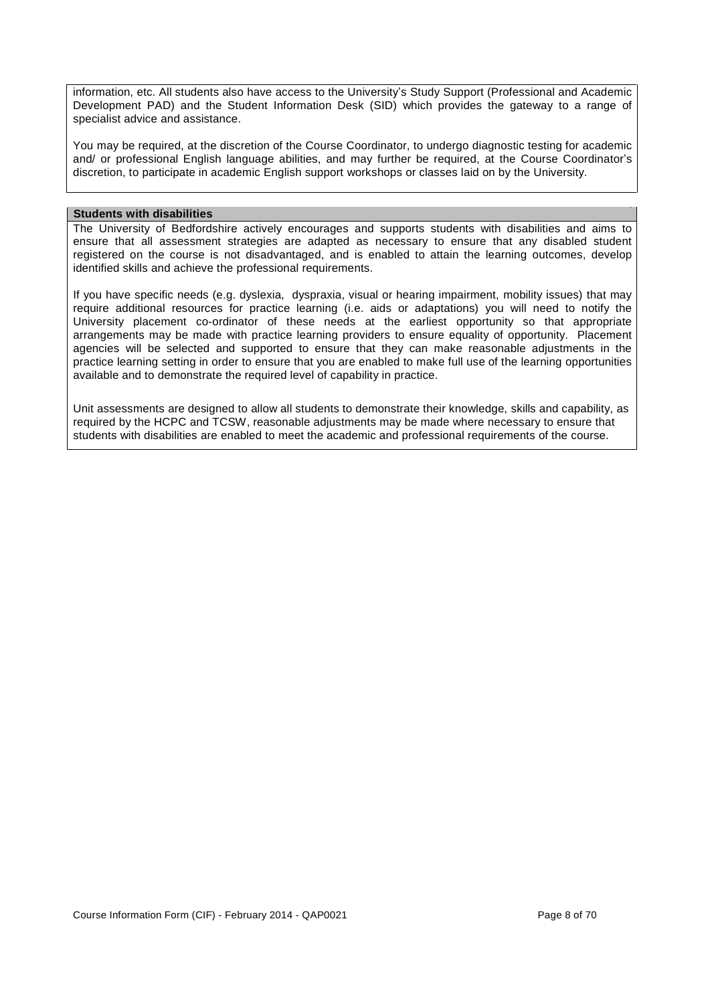information, etc. All students also have access to the University's Study Support (Professional and Academic Development PAD) and the Student Information Desk (SID) which provides the gateway to a range of specialist advice and assistance.

You may be required, at the discretion of the Course Coordinator, to undergo diagnostic testing for academic and/ or professional English language abilities, and may further be required, at the Course Coordinator's discretion, to participate in academic English support workshops or classes laid on by the University.

#### **Students with disabilities**

The University of Bedfordshire actively encourages and supports students with disabilities and aims to ensure that all assessment strategies are adapted as necessary to ensure that any disabled student registered on the course is not disadvantaged, and is enabled to attain the learning outcomes, develop identified skills and achieve the professional requirements.

If you have specific needs (e.g. dyslexia, dyspraxia, visual or hearing impairment, mobility issues) that may require additional resources for practice learning (i.e. aids or adaptations) you will need to notify the University placement co-ordinator of these needs at the earliest opportunity so that appropriate arrangements may be made with practice learning providers to ensure equality of opportunity. Placement agencies will be selected and supported to ensure that they can make reasonable adjustments in the practice learning setting in order to ensure that you are enabled to make full use of the learning opportunities available and to demonstrate the required level of capability in practice.

Unit assessments are designed to allow all students to demonstrate their knowledge, skills and capability, as required by the HCPC and TCSW, reasonable adjustments may be made where necessary to ensure that students with disabilities are enabled to meet the academic and professional requirements of the course.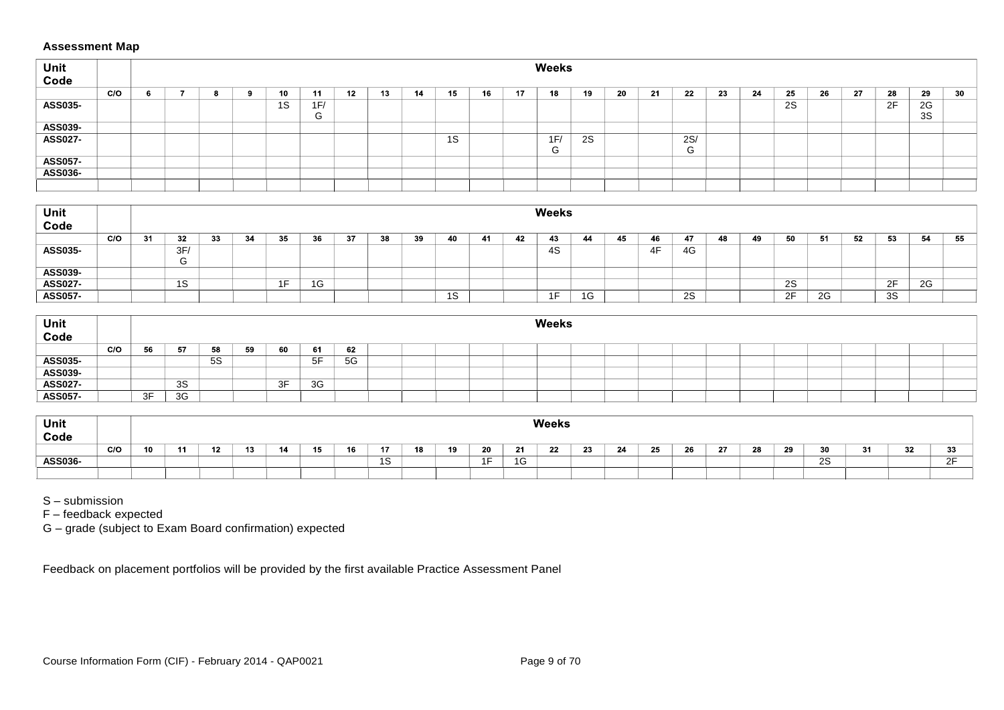# **Assessment Map**

| Unit<br>Code   |     |  |  |    |                    |    |    |    |    |    |    | Weeks    |    |     |    |                    |     |    |      |     |     |    |          |      |
|----------------|-----|--|--|----|--------------------|----|----|----|----|----|----|----------|----|-----|----|--------------------|-----|----|------|-----|-----|----|----------|------|
|                | C/O |  |  | 10 | 11                 | 12 | 13 | 14 | 15 | 16 | 17 | 18       | 19 | -20 | 21 | 22                 | -23 | 24 | - 25 | -26 | -27 | 28 | 29       | - 30 |
| ASS035-        |     |  |  | 1S | 1F/<br>$\sim$<br>G |    |    |    |    |    |    |          |    |     |    |                    |     |    | 2S   |     |     | 2F | 2G<br>3S |      |
| ASS039-        |     |  |  |    |                    |    |    |    |    |    |    |          |    |     |    |                    |     |    |      |     |     |    |          |      |
| <b>ASS027-</b> |     |  |  |    |                    |    |    |    | 1S |    |    | 1F/<br>G | 2S |     |    | 2S/<br>$\sim$<br>G |     |    |      |     |     |    |          |      |
| <b>ASS057-</b> |     |  |  |    |                    |    |    |    |    |    |    |          |    |     |    |                    |     |    |      |     |     |    |          |      |
| ASS036-        |     |  |  |    |                    |    |    |    |    |    |    |          |    |     |    |                    |     |    |      |     |     |    |          |      |
|                |     |  |  |    |                    |    |    |    |    |    |    |          |    |     |    |                    |     |    |      |     |     |    |          |      |

| <sup>⊦</sup> Unit<br>Code |     |    |           |    |    |     |    |    |    |    |           |    |     | <b>Weeks</b>   |    |    |    |    |    |    |          |     |    |    |    |    |
|---------------------------|-----|----|-----------|----|----|-----|----|----|----|----|-----------|----|-----|----------------|----|----|----|----|----|----|----------|-----|----|----|----|----|
|                           | C/O | 31 | 32        | 33 | 34 | 35  | 36 | 37 | 38 | 39 | 40        | 41 | -42 | 43             | 44 | 45 | 46 | 47 | 48 | 49 | 50       | -51 | 52 | 53 | 54 | 55 |
| <b>ASS035-</b>            |     |    | 3F/       |    |    |     |    |    |    |    |           |    |     | 4S             |    |    | 4F | 4G |    |    |          |     |    |    |    |    |
|                           |     |    |           |    |    |     |    |    |    |    |           |    |     |                |    |    |    |    |    |    |          |     |    |    |    |    |
| ASS039-                   |     |    |           |    |    |     |    |    |    |    |           |    |     |                |    |    |    |    |    |    |          |     |    |    |    |    |
| <b>ASS027-</b>            |     |    | 1 C<br>10 |    |    | 1F. | 1G |    |    |    |           |    |     |                |    |    |    |    |    |    | 2S       |     |    | 2F | 2G |    |
| <b>ASS057-</b>            |     |    |           |    |    |     |    |    |    |    | 1 C<br>د١ |    |     | 4 <sub>E</sub> | 1G |    |    | 2S |    |    | $\Omega$ | 2G  |    | 3S |    |    |

| Unit<br>Code                  |     |    |    |           |           |    |    |  |  | Weeks |  |  |  |  |  |  |
|-------------------------------|-----|----|----|-----------|-----------|----|----|--|--|-------|--|--|--|--|--|--|
|                               | C/O | 56 | 57 | 58        | 60        | 61 | 62 |  |  |       |  |  |  |  |  |  |
| ASS035-<br>ASS039-<br>ASS027- |     |    |    | <b>5S</b> |           | 5F | 5G |  |  |       |  |  |  |  |  |  |
|                               |     |    |    |           |           |    |    |  |  |       |  |  |  |  |  |  |
|                               |     |    | 3S |           | 3E<br>ا ب | 3G |    |  |  |       |  |  |  |  |  |  |
| ASS057-                       |     | 3F | 3G |           |           |    |    |  |  |       |  |  |  |  |  |  |

| Unit<br>Code |     |    |           |                      |        |                      |     |    |    |    |                   | <b>Weeks</b> |    |    |    |           |        |    |    |          |     |              |             |
|--------------|-----|----|-----------|----------------------|--------|----------------------|-----|----|----|----|-------------------|--------------|----|----|----|-----------|--------|----|----|----------|-----|--------------|-------------|
|              | C/O | 10 | -4.6<br>K | $\overline{a}$<br>10 | 15<br> | $\overline{a}$<br>10 |     | 18 | 19 | 20 | -24<br><b>E</b> 1 | 22           | 23 | 24 | 25 | ne.<br>20 | $\sim$ | 28 | 29 | - -<br>ູ | . . | $\sim$<br>34 | $\sim$<br>ູ |
| ASS036-      |     |    |           |                      |        |                      | ت ا |    |    | 1F | $\sim$<br>ت 1     |              |    |    |    |           |        |    |    | ററ<br>ںے |     |              | ∩⊏<br>. .   |
|              |     |    |           |                      |        |                      |     |    |    |    |                   |              |    |    |    |           |        |    |    |          |     |              |             |

S – submission

F – feedback expected

G – grade (subject to Exam Board confirmation) expected

Feedback on placement portfolios will be provided by the first available Practice Assessment Panel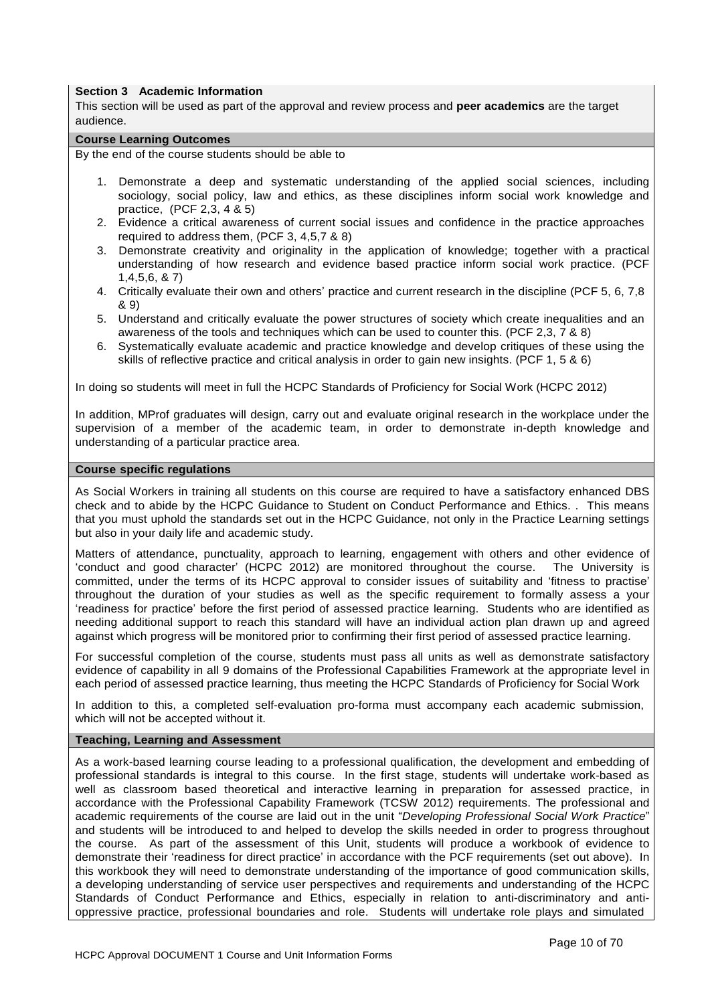#### **Section 3 Academic Information**

This section will be used as part of the approval and review process and **peer academics** are the target audience.

#### **Course Learning Outcomes**

By the end of the course students should be able to

- 1. Demonstrate a deep and systematic understanding of the applied social sciences, including sociology, social policy, law and ethics, as these disciplines inform social work knowledge and practice, (PCF 2,3, 4 & 5)
- 2. Evidence a critical awareness of current social issues and confidence in the practice approaches required to address them, (PCF 3, 4,5,7 & 8)
- 3. Demonstrate creativity and originality in the application of knowledge; together with a practical understanding of how research and evidence based practice inform social work practice. (PCF 1,4,5,6, & 7)
- 4. Critically evaluate their own and others' practice and current research in the discipline (PCF 5, 6, 7,8 & 9)
- 5. Understand and critically evaluate the power structures of society which create inequalities and an awareness of the tools and techniques which can be used to counter this. (PCF 2,3, 7 & 8)
- 6. Systematically evaluate academic and practice knowledge and develop critiques of these using the skills of reflective practice and critical analysis in order to gain new insights. (PCF 1, 5 & 6)

In doing so students will meet in full the HCPC Standards of Proficiency for Social Work (HCPC 2012)

In addition, MProf graduates will design, carry out and evaluate original research in the workplace under the supervision of a member of the academic team, in order to demonstrate in-depth knowledge and understanding of a particular practice area.

#### **Course specific regulations**

As Social Workers in training all students on this course are required to have a satisfactory enhanced DBS check and to abide by the HCPC Guidance to Student on Conduct Performance and Ethics. . This means that you must uphold the standards set out in the HCPC Guidance, not only in the Practice Learning settings but also in your daily life and academic study.

Matters of attendance, punctuality, approach to learning, engagement with others and other evidence of 'conduct and good character' (HCPC 2012) are monitored throughout the course. The University is committed, under the terms of its HCPC approval to consider issues of suitability and 'fitness to practise' throughout the duration of your studies as well as the specific requirement to formally assess a your 'readiness for practice' before the first period of assessed practice learning. Students who are identified as needing additional support to reach this standard will have an individual action plan drawn up and agreed against which progress will be monitored prior to confirming their first period of assessed practice learning.

For successful completion of the course, students must pass all units as well as demonstrate satisfactory evidence of capability in all 9 domains of the Professional Capabilities Framework at the appropriate level in each period of assessed practice learning, thus meeting the HCPC Standards of Proficiency for Social Work

In addition to this, a completed self-evaluation pro-forma must accompany each academic submission, which will not be accepted without it.

#### **Teaching, Learning and Assessment**

As a work-based learning course leading to a professional qualification, the development and embedding of professional standards is integral to this course. In the first stage, students will undertake work-based as well as classroom based theoretical and interactive learning in preparation for assessed practice, in accordance with the Professional Capability Framework (TCSW 2012) requirements. The professional and academic requirements of the course are laid out in the unit "*Developing Professional Social Work Practice*" and students will be introduced to and helped to develop the skills needed in order to progress throughout the course. As part of the assessment of this Unit, students will produce a workbook of evidence to demonstrate their 'readiness for direct practice' in accordance with the PCF requirements (set out above). In this workbook they will need to demonstrate understanding of the importance of good communication skills, a developing understanding of service user perspectives and requirements and understanding of the HCPC Standards of Conduct Performance and Ethics, especially in relation to anti-discriminatory and antioppressive practice, professional boundaries and role. Students will undertake role plays and simulated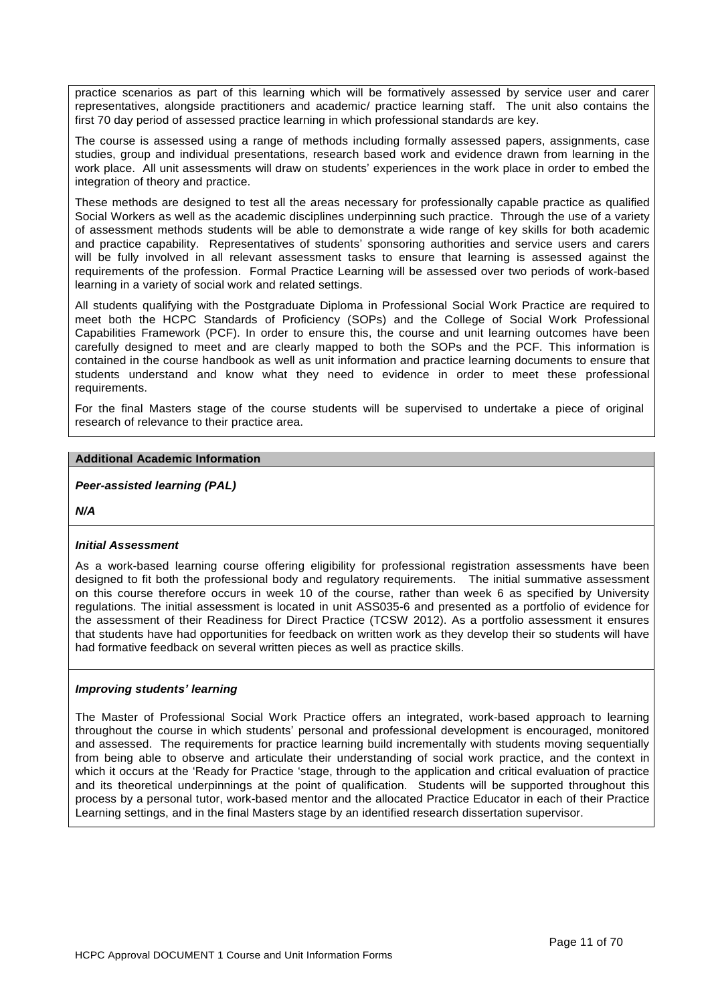practice scenarios as part of this learning which will be formatively assessed by service user and carer representatives, alongside practitioners and academic/ practice learning staff. The unit also contains the first 70 day period of assessed practice learning in which professional standards are key.

The course is assessed using a range of methods including formally assessed papers, assignments, case studies, group and individual presentations, research based work and evidence drawn from learning in the work place. All unit assessments will draw on students' experiences in the work place in order to embed the integration of theory and practice.

These methods are designed to test all the areas necessary for professionally capable practice as qualified Social Workers as well as the academic disciplines underpinning such practice. Through the use of a variety of assessment methods students will be able to demonstrate a wide range of key skills for both academic and practice capability. Representatives of students' sponsoring authorities and service users and carers will be fully involved in all relevant assessment tasks to ensure that learning is assessed against the requirements of the profession. Formal Practice Learning will be assessed over two periods of work-based learning in a variety of social work and related settings.

All students qualifying with the Postgraduate Diploma in Professional Social Work Practice are required to meet both the HCPC Standards of Proficiency (SOPs) and the College of Social Work Professional Capabilities Framework (PCF). In order to ensure this, the course and unit learning outcomes have been carefully designed to meet and are clearly mapped to both the SOPs and the PCF. This information is contained in the course handbook as well as unit information and practice learning documents to ensure that students understand and know what they need to evidence in order to meet these professional requirements.

For the final Masters stage of the course students will be supervised to undertake a piece of original research of relevance to their practice area.

#### **Additional Academic Information**

*Peer-assisted learning (PAL)*

*N/A*

## *Initial Assessment*

As a work-based learning course offering eligibility for professional registration assessments have been designed to fit both the professional body and regulatory requirements. The initial summative assessment on this course therefore occurs in week 10 of the course, rather than week 6 as specified by University regulations. The initial assessment is located in unit ASS035-6 and presented as a portfolio of evidence for the assessment of their Readiness for Direct Practice (TCSW 2012). As a portfolio assessment it ensures that students have had opportunities for feedback on written work as they develop their so students will have had formative feedback on several written pieces as well as practice skills.

## *Improving students' learning*

The Master of Professional Social Work Practice offers an integrated, work-based approach to learning throughout the course in which students' personal and professional development is encouraged, monitored and assessed. The requirements for practice learning build incrementally with students moving sequentially from being able to observe and articulate their understanding of social work practice, and the context in which it occurs at the 'Ready for Practice 'stage, through to the application and critical evaluation of practice and its theoretical underpinnings at the point of qualification. Students will be supported throughout this process by a personal tutor, work-based mentor and the allocated Practice Educator in each of their Practice Learning settings, and in the final Masters stage by an identified research dissertation supervisor.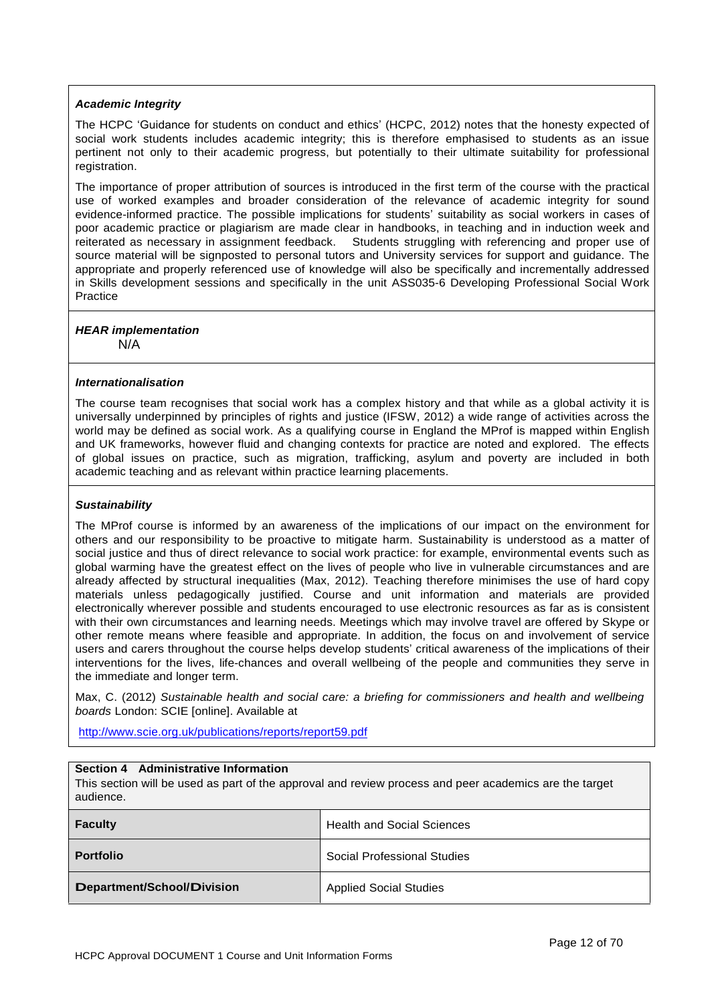# *Academic Integrity*

The HCPC 'Guidance for students on conduct and ethics' (HCPC, 2012) notes that the honesty expected of social work students includes academic integrity; this is therefore emphasised to students as an issue pertinent not only to their academic progress, but potentially to their ultimate suitability for professional registration.

The importance of proper attribution of sources is introduced in the first term of the course with the practical use of worked examples and broader consideration of the relevance of academic integrity for sound evidence-informed practice. The possible implications for students' suitability as social workers in cases of poor academic practice or plagiarism are made clear in handbooks, in teaching and in induction week and reiterated as necessary in assignment feedback. Students struggling with referencing and proper use of source material will be signposted to personal tutors and University services for support and guidance. The appropriate and properly referenced use of knowledge will also be specifically and incrementally addressed in Skills development sessions and specifically in the unit ASS035-6 Developing Professional Social Work Practice

#### *HEAR implementation* N/A

## *Internationalisation*

The course team recognises that social work has a complex history and that while as a global activity it is universally underpinned by principles of rights and justice (IFSW, 2012) a wide range of activities across the world may be defined as social work. As a qualifying course in England the MProf is mapped within English and UK frameworks, however fluid and changing contexts for practice are noted and explored. The effects of global issues on practice, such as migration, trafficking, asylum and poverty are included in both academic teaching and as relevant within practice learning placements.

# *Sustainability*

The MProf course is informed by an awareness of the implications of our impact on the environment for others and our responsibility to be proactive to mitigate harm. Sustainability is understood as a matter of social justice and thus of direct relevance to social work practice: for example, environmental events such as global warming have the greatest effect on the lives of people who live in vulnerable circumstances and are already affected by structural inequalities (Max, 2012). Teaching therefore minimises the use of hard copy materials unless pedagogically justified. Course and unit information and materials are provided electronically wherever possible and students encouraged to use electronic resources as far as is consistent with their own circumstances and learning needs. Meetings which may involve travel are offered by Skype or other remote means where feasible and appropriate. In addition, the focus on and involvement of service users and carers throughout the course helps develop students' critical awareness of the implications of their interventions for the lives, life-chances and overall wellbeing of the people and communities they serve in the immediate and longer term.

Max, C. (2012) *Sustainable health and social care: a briefing for commissioners and health and wellbeing boards* London: SCIE [online]. Available at

http://www.scie.org.uk/publications/reports/report59.pdf

## **Section 4 Administrative Information**

This section will be used as part of the approval and review process and peer academics are the target audience.

| <b>Faculty</b>                    | <b>Health and Social Sciences</b> |
|-----------------------------------|-----------------------------------|
| <b>Portfolio</b>                  | Social Professional Studies       |
| <b>Department/School/Division</b> | <b>Applied Social Studies</b>     |